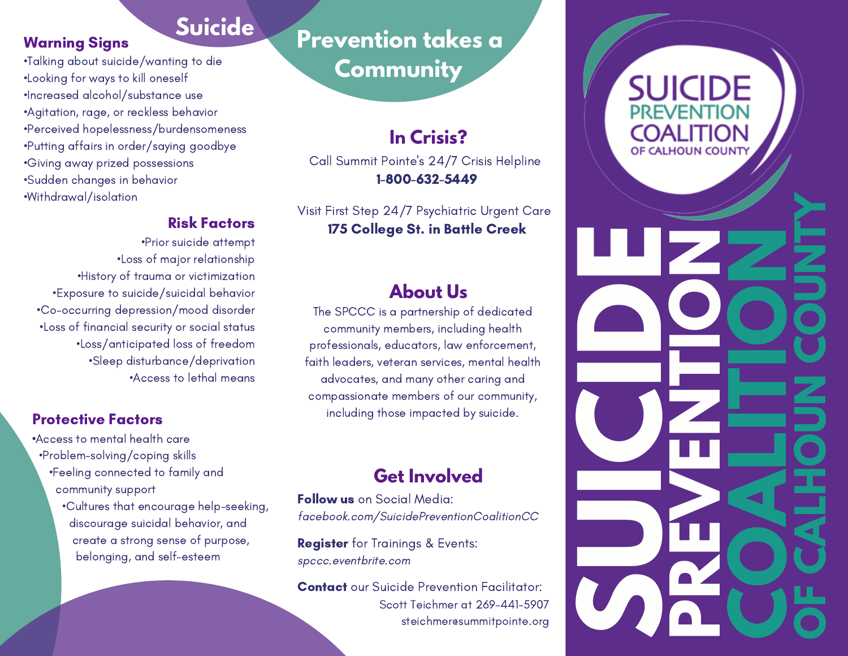### **Suicide**

•Talking about suicide/wanting to die •Looking for ways to kill oneself •Increased alcohol/substance use •Agitation, rage, or reckless behavior •Perceived hopelessness/burdensomeness •Putting affairs in order/saying goodbye •Giving away prized possessions •Sudden changes in behavior •Withdrawal/isolation

Warning Signs

#### Risk Factors

•Prior suicide attempt •Loss of major relationship •History of trauma or victimization •Exposure to suicide/suicidal behavior •Co-occurring depression/mood disorder •Loss of financial security or social status •Loss/anticipated loss of freedom •Sleep disturbance/deprivation •Access to lethal means

#### Protective Factors

•Access to mental health care •Problem-solving/coping skills

•Feeling connected to family and community support

•Cultures that encourage help-seeking, discourage suicidal behavior, and create a strong sense of purpose, belonging, and self-esteem

# **Prevention takes a Community**

#### **In Crisis?**

Call Summit Pointe's 24/7 Crisis Helpline 1-800-632-5449

Visit First Step 24/7 Psychiatric Urgent Care 175 College St. in Battle Creek

#### **About Us**

The SPCCC is a partnership of dedicated community members, including health professionals, educators, law enforcement, faith leaders, veteran services, mental health advocates, and many other caring and compassionate members of our community, including those impacted by suicide.

#### **Get Involved**

Follow us on Social Media: facebook.com/SuicidePreventionCoalitionCC

Register for Trainings & Events: spccc.eventbrite.com

**Contact** our Suicide Prevention Facilitator: Scott Teichmer at 269-441-5907 steichmer@summitpointe.org

# **COALITION** OF CALHOUN COUNTY

**C**

**P**

**R**

**E**

**E**

**N**

**T**

**I**

**O**

**N**

**S**

**U**

**I** 

**C**

**I** 

**D**

**E**

**L**

**V**

**T**

**O**

**N**

 $\frac{4}{3}$ 

**O**

**F**

**L**

**H**

**O**

**U**

**N**

**C**

**O**

**U**

**N**

**TY**

**CA**